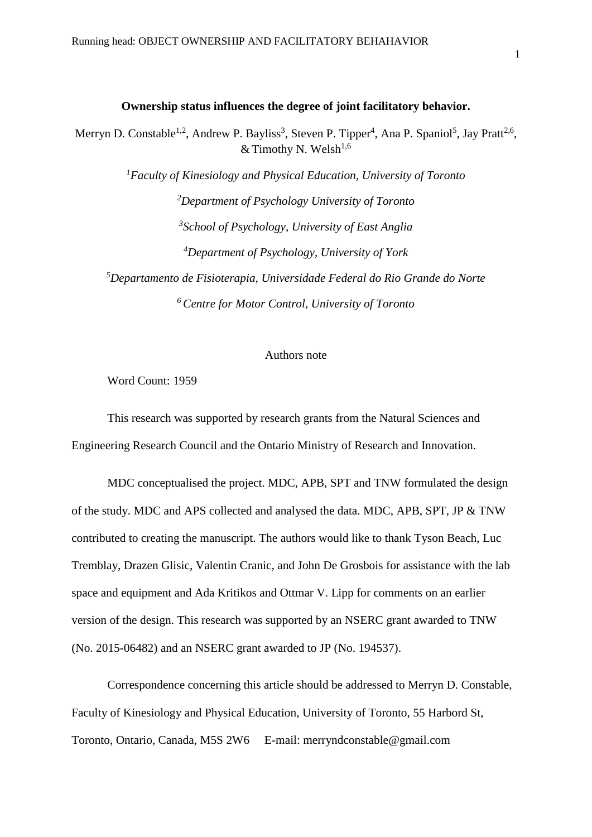#### **Ownership status influences the degree of joint facilitatory behavior.**

Merryn D. Constable<sup>1,2</sup>, Andrew P. Bayliss<sup>3</sup>, Steven P. Tipper<sup>4</sup>, Ana P. Spaniol<sup>5</sup>, Jay Pratt<sup>2,6</sup>, & Timothy N. Welsh<sup>1,6</sup>

*Faculty of Kinesiology and Physical Education, University of Toronto Department of Psychology University of Toronto School of Psychology, University of East Anglia Department of Psychology, University of York Departamento de Fisioterapia, Universidade Federal do Rio Grande do Norte Centre for Motor Control, University of Toronto*

# Authors note

Word Count: 1959

This research was supported by research grants from the Natural Sciences and Engineering Research Council and the Ontario Ministry of Research and Innovation.

MDC conceptualised the project. MDC, APB, SPT and TNW formulated the design of the study. MDC and APS collected and analysed the data. MDC, APB, SPT, JP & TNW contributed to creating the manuscript. The authors would like to thank Tyson Beach, Luc Tremblay, Drazen Glisic, Valentin Cranic, and John De Grosbois for assistance with the lab space and equipment and Ada Kritikos and Ottmar V. Lipp for comments on an earlier version of the design. This research was supported by an NSERC grant awarded to TNW (No. 2015-06482) and an NSERC grant awarded to JP (No. 194537).

Correspondence concerning this article should be addressed to Merryn D. Constable, Faculty of Kinesiology and Physical Education, University of Toronto, 55 Harbord St, Toronto, Ontario, Canada, M5S 2W6 E-mail: merryndconstable@gmail.com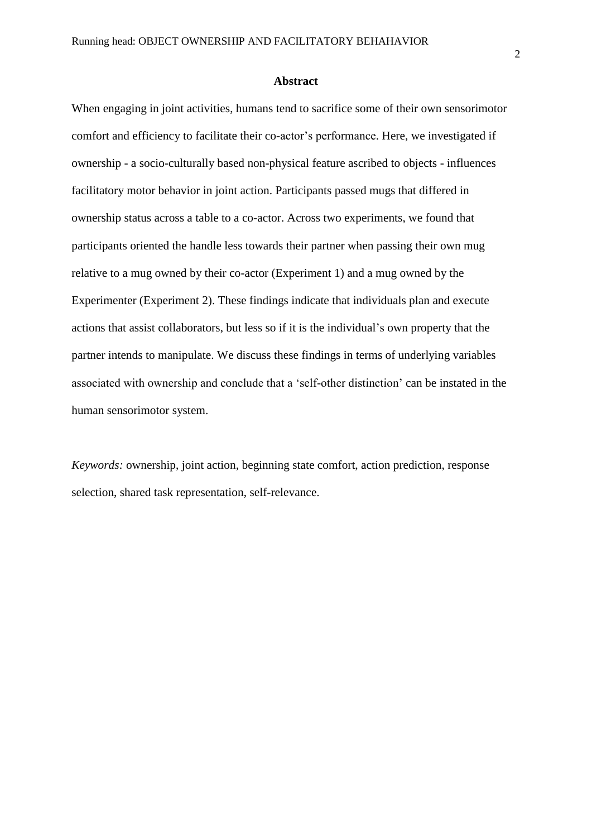When engaging in joint activities, humans tend to sacrifice some of their own sensorimotor comfort and efficiency to facilitate their co-actor's performance. Here, we investigated if ownership - a socio-culturally based non-physical feature ascribed to objects - influences facilitatory motor behavior in joint action. Participants passed mugs that differed in ownership status across a table to a co-actor. Across two experiments, we found that participants oriented the handle less towards their partner when passing their own mug relative to a mug owned by their co-actor (Experiment 1) and a mug owned by the Experimenter (Experiment 2). These findings indicate that individuals plan and execute actions that assist collaborators, but less so if it is the individual's own property that the partner intends to manipulate. We discuss these findings in terms of underlying variables associated with ownership and conclude that a 'self-other distinction' can be instated in the human sensorimotor system.

*Keywords:* ownership, joint action, beginning state comfort, action prediction, response selection, shared task representation, self-relevance.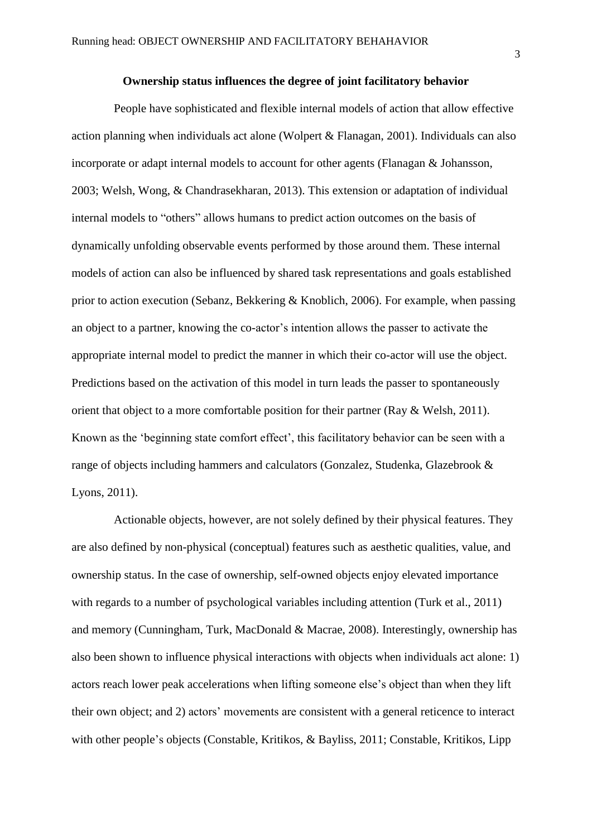#### **Ownership status influences the degree of joint facilitatory behavior**

People have sophisticated and flexible internal models of action that allow effective action planning when individuals act alone (Wolpert & Flanagan, 2001). Individuals can also incorporate or adapt internal models to account for other agents (Flanagan & Johansson, 2003; Welsh, Wong, & Chandrasekharan, 2013). This extension or adaptation of individual internal models to "others" allows humans to predict action outcomes on the basis of dynamically unfolding observable events performed by those around them. These internal models of action can also be influenced by shared task representations and goals established prior to action execution (Sebanz, Bekkering & Knoblich, 2006). For example, when passing an object to a partner, knowing the co-actor's intention allows the passer to activate the appropriate internal model to predict the manner in which their co-actor will use the object. Predictions based on the activation of this model in turn leads the passer to spontaneously orient that object to a more comfortable position for their partner (Ray & Welsh, 2011). Known as the 'beginning state comfort effect', this facilitatory behavior can be seen with a range of objects including hammers and calculators (Gonzalez, Studenka, Glazebrook & Lyons, 2011).

Actionable objects, however, are not solely defined by their physical features. They are also defined by non-physical (conceptual) features such as aesthetic qualities, value, and ownership status. In the case of ownership, self-owned objects enjoy elevated importance with regards to a number of psychological variables including attention (Turk et al., 2011) and memory (Cunningham, Turk, MacDonald & Macrae, 2008). Interestingly, ownership has also been shown to influence physical interactions with objects when individuals act alone: 1) actors reach lower peak accelerations when lifting someone else's object than when they lift their own object; and 2) actors' movements are consistent with a general reticence to interact with other people's objects (Constable, Kritikos, & Bayliss, 2011; Constable, Kritikos, Lipp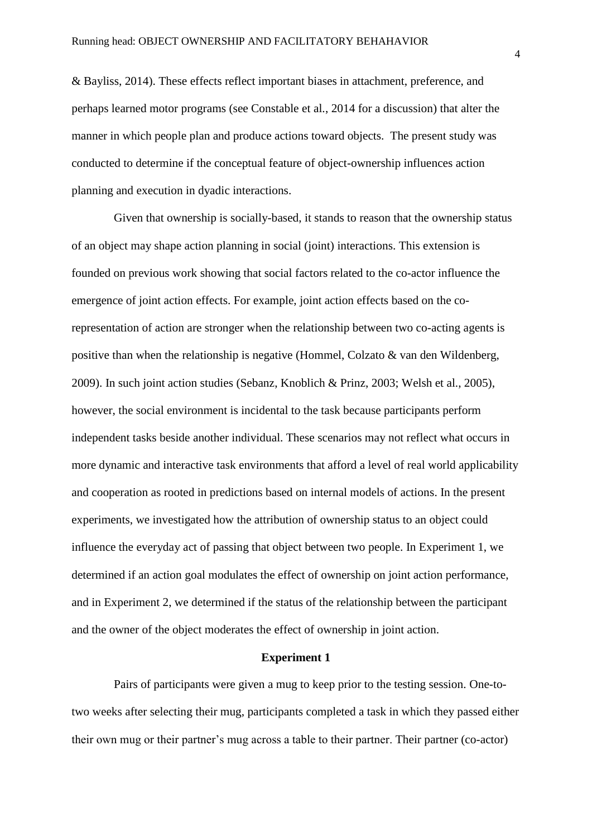& Bayliss, 2014). These effects reflect important biases in attachment, preference, and perhaps learned motor programs (see Constable et al., 2014 for a discussion) that alter the manner in which people plan and produce actions toward objects. The present study was conducted to determine if the conceptual feature of object-ownership influences action planning and execution in dyadic interactions.

Given that ownership is socially-based, it stands to reason that the ownership status of an object may shape action planning in social (joint) interactions. This extension is founded on previous work showing that social factors related to the co-actor influence the emergence of joint action effects. For example, joint action effects based on the corepresentation of action are stronger when the relationship between two co-acting agents is positive than when the relationship is negative (Hommel, Colzato & van den Wildenberg, 2009). In such joint action studies (Sebanz, Knoblich & Prinz, 2003; Welsh et al., 2005), however, the social environment is incidental to the task because participants perform independent tasks beside another individual. These scenarios may not reflect what occurs in more dynamic and interactive task environments that afford a level of real world applicability and cooperation as rooted in predictions based on internal models of actions. In the present experiments, we investigated how the attribution of ownership status to an object could influence the everyday act of passing that object between two people. In Experiment 1, we determined if an action goal modulates the effect of ownership on joint action performance, and in Experiment 2, we determined if the status of the relationship between the participant and the owner of the object moderates the effect of ownership in joint action.

### **Experiment 1**

Pairs of participants were given a mug to keep prior to the testing session. One-totwo weeks after selecting their mug, participants completed a task in which they passed either their own mug or their partner's mug across a table to their partner. Their partner (co-actor)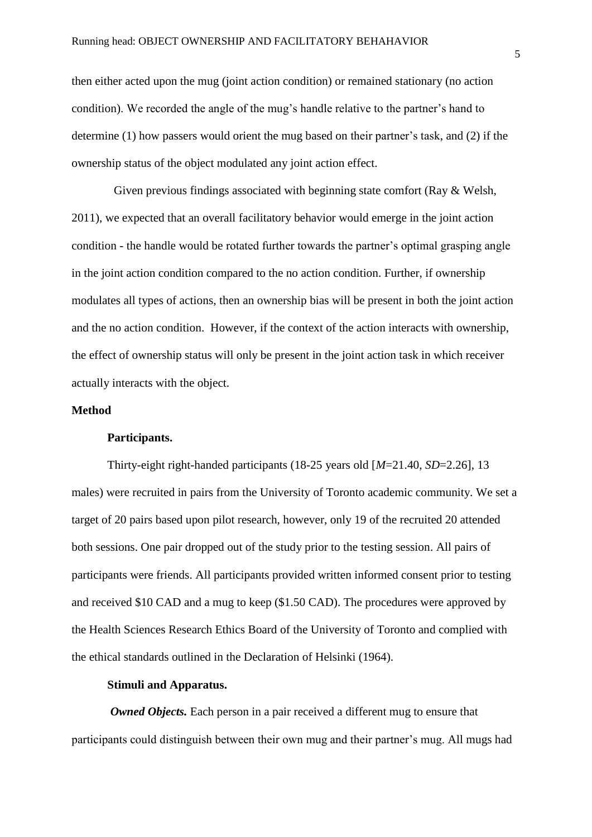then either acted upon the mug (joint action condition) or remained stationary (no action condition). We recorded the angle of the mug's handle relative to the partner's hand to determine (1) how passers would orient the mug based on their partner's task, and (2) if the ownership status of the object modulated any joint action effect.

Given previous findings associated with beginning state comfort (Ray & Welsh, 2011), we expected that an overall facilitatory behavior would emerge in the joint action condition - the handle would be rotated further towards the partner's optimal grasping angle in the joint action condition compared to the no action condition. Further, if ownership modulates all types of actions, then an ownership bias will be present in both the joint action and the no action condition. However, if the context of the action interacts with ownership, the effect of ownership status will only be present in the joint action task in which receiver actually interacts with the object.

### **Method**

### **Participants.**

Thirty-eight right-handed participants (18-25 years old [*M*=21.40, *SD*=2.26], 13 males) were recruited in pairs from the University of Toronto academic community. We set a target of 20 pairs based upon pilot research, however, only 19 of the recruited 20 attended both sessions. One pair dropped out of the study prior to the testing session. All pairs of participants were friends. All participants provided written informed consent prior to testing and received \$10 CAD and a mug to keep (\$1.50 CAD). The procedures were approved by the Health Sciences Research Ethics Board of the University of Toronto and complied with the ethical standards outlined in the Declaration of Helsinki (1964).

# **Stimuli and Apparatus.**

*Owned Objects.* Each person in a pair received a different mug to ensure that participants could distinguish between their own mug and their partner's mug. All mugs had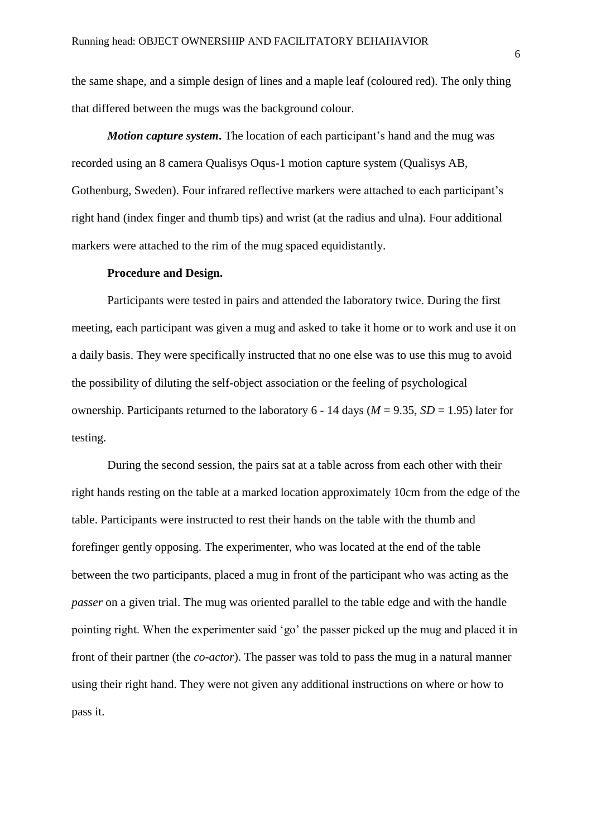the same shape, and a simple design of lines and a maple leaf (coloured red). The only thing that differed between the mugs was the background colour.

*Motion capture system*. The location of each participant's hand and the mug was recorded using an 8 camera Qualisys Oqus-1 motion capture system (Qualisys AB, Gothenburg, Sweden). Four infrared reflective markers were attached to each participant's right hand (index finger and thumb tips) and wrist (at the radius and ulna). Four additional markers were attached to the rim of the mug spaced equidistantly.

#### **Procedure and Design.**

Participants were tested in pairs and attended the laboratory twice. During the first meeting, each participant was given a mug and asked to take it home or to work and use it on a daily basis. They were specifically instructed that no one else was to use this mug to avoid the possibility of diluting the self-object association or the feeling of psychological ownership. Participants returned to the laboratory  $6 - 14$  days ( $M = 9.35$ ,  $SD = 1.95$ ) later for testing.

During the second session, the pairs sat at a table across from each other with their right hands resting on the table at a marked location approximately 10cm from the edge of the table. Participants were instructed to rest their hands on the table with the thumb and forefinger gently opposing. The experimenter, who was located at the end of the table between the two participants, placed a mug in front of the participant who was acting as the *passer* on a given trial. The mug was oriented parallel to the table edge and with the handle pointing right. When the experimenter said 'go' the passer picked up the mug and placed it in front of their partner (the *co-actor*). The passer was told to pass the mug in a natural manner using their right hand. They were not given any additional instructions on where or how to pass it.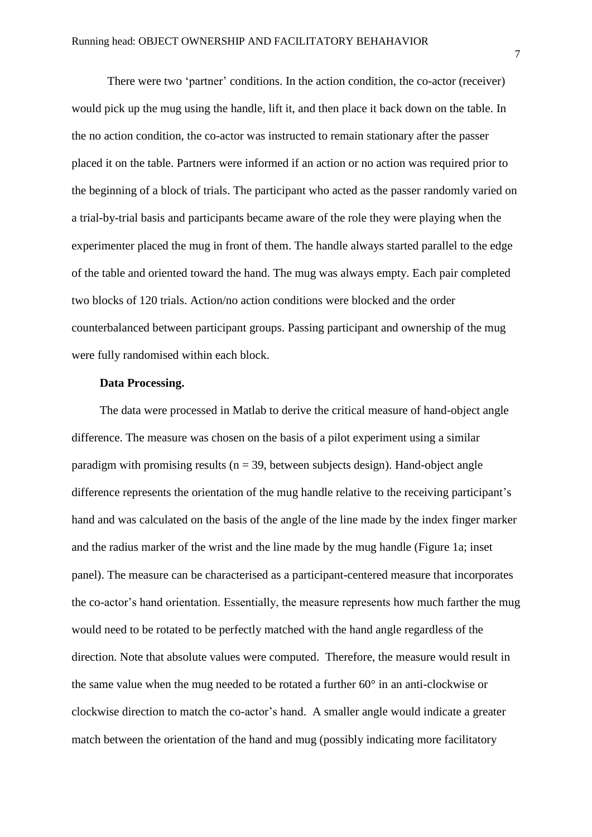There were two 'partner' conditions. In the action condition, the co-actor (receiver) would pick up the mug using the handle, lift it, and then place it back down on the table. In the no action condition, the co-actor was instructed to remain stationary after the passer placed it on the table. Partners were informed if an action or no action was required prior to the beginning of a block of trials. The participant who acted as the passer randomly varied on a trial-by-trial basis and participants became aware of the role they were playing when the experimenter placed the mug in front of them. The handle always started parallel to the edge of the table and oriented toward the hand. The mug was always empty. Each pair completed two blocks of 120 trials. Action/no action conditions were blocked and the order counterbalanced between participant groups. Passing participant and ownership of the mug were fully randomised within each block.

### **Data Processing.**

The data were processed in Matlab to derive the critical measure of hand-object angle difference. The measure was chosen on the basis of a pilot experiment using a similar paradigm with promising results ( $n = 39$ , between subjects design). Hand-object angle difference represents the orientation of the mug handle relative to the receiving participant's hand and was calculated on the basis of the angle of the line made by the index finger marker and the radius marker of the wrist and the line made by the mug handle (Figure 1a; inset panel). The measure can be characterised as a participant-centered measure that incorporates the co-actor's hand orientation. Essentially, the measure represents how much farther the mug would need to be rotated to be perfectly matched with the hand angle regardless of the direction. Note that absolute values were computed. Therefore, the measure would result in the same value when the mug needed to be rotated a further 60° in an anti-clockwise or clockwise direction to match the co-actor's hand. A smaller angle would indicate a greater match between the orientation of the hand and mug (possibly indicating more facilitatory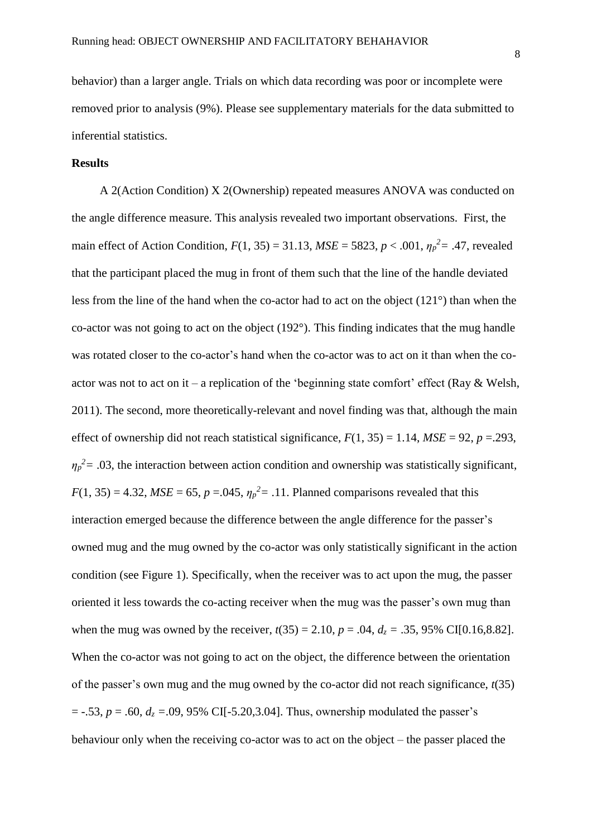behavior) than a larger angle. Trials on which data recording was poor or incomplete were removed prior to analysis (9%). Please see supplementary materials for the data submitted to inferential statistics.

### **Results**

A 2(Action Condition) X 2(Ownership) repeated measures ANOVA was conducted on the angle difference measure. This analysis revealed two important observations. First, the main effect of Action Condition,  $F(1, 35) = 31.13$ ,  $MSE = 5823$ ,  $p < .001$ ,  $\eta_p^2 = .47$ , revealed that the participant placed the mug in front of them such that the line of the handle deviated less from the line of the hand when the co-actor had to act on the object (121°) than when the co-actor was not going to act on the object (192°). This finding indicates that the mug handle was rotated closer to the co-actor's hand when the co-actor was to act on it than when the coactor was not to act on it – a replication of the 'beginning state comfort' effect (Ray  $\&$  Welsh, 2011). The second, more theoretically-relevant and novel finding was that, although the main effect of ownership did not reach statistical significance,  $F(1, 35) = 1.14$ ,  $MSE = 92$ ,  $p = .293$ ,  $\eta_p^2$  = .03, the interaction between action condition and ownership was statistically significant,  $F(1, 35) = 4.32$ ,  $MSE = 65$ ,  $p = .045$ ,  $\eta_p^2 = .11$ . Planned comparisons revealed that this interaction emerged because the difference between the angle difference for the passer's owned mug and the mug owned by the co-actor was only statistically significant in the action condition (see Figure 1). Specifically, when the receiver was to act upon the mug, the passer oriented it less towards the co-acting receiver when the mug was the passer's own mug than when the mug was owned by the receiver,  $t(35) = 2.10$ ,  $p = .04$ ,  $d_z = .35$ , 95% CI[0.16,8.82]. When the co-actor was not going to act on the object, the difference between the orientation of the passer's own mug and the mug owned by the co-actor did not reach significance, *t*(35)  $= -.53, p = .60, d<sub>z</sub> = .09, 95\% \text{ CI}[-5.20, 3.04].$  Thus, ownership modulated the passer's behaviour only when the receiving co-actor was to act on the object – the passer placed the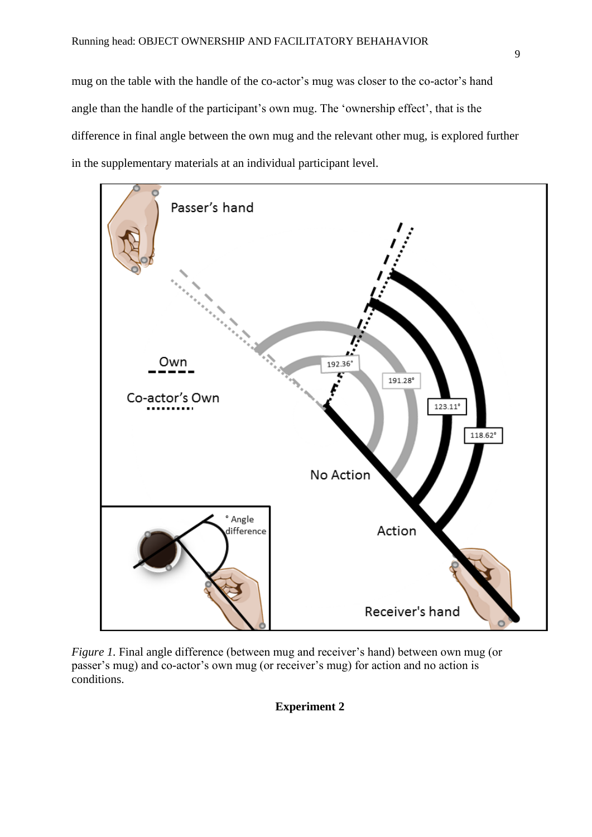mug on the table with the handle of the co-actor's mug was closer to the co-actor's hand angle than the handle of the participant's own mug. The 'ownership effect', that is the difference in final angle between the own mug and the relevant other mug, is explored further in the supplementary materials at an individual participant level.



*Figure 1.* Final angle difference (between mug and receiver's hand) between own mug (or passer's mug) and co-actor's own mug (or receiver's mug) for action and no action is conditions.

**Experiment 2**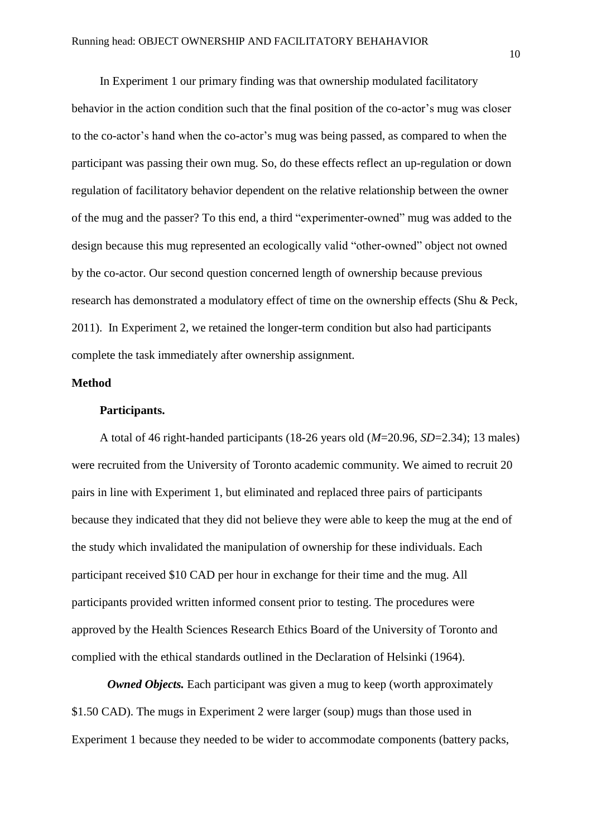In Experiment 1 our primary finding was that ownership modulated facilitatory behavior in the action condition such that the final position of the co-actor's mug was closer to the co-actor's hand when the co-actor's mug was being passed, as compared to when the participant was passing their own mug. So, do these effects reflect an up-regulation or down regulation of facilitatory behavior dependent on the relative relationship between the owner of the mug and the passer? To this end, a third "experimenter-owned" mug was added to the design because this mug represented an ecologically valid "other-owned" object not owned by the co-actor. Our second question concerned length of ownership because previous research has demonstrated a modulatory effect of time on the ownership effects (Shu & Peck, 2011). In Experiment 2, we retained the longer-term condition but also had participants complete the task immediately after ownership assignment.

# **Method**

#### **Participants.**

A total of 46 right-handed participants (18-26 years old (*M*=20.96, *SD*=2.34); 13 males) were recruited from the University of Toronto academic community. We aimed to recruit 20 pairs in line with Experiment 1, but eliminated and replaced three pairs of participants because they indicated that they did not believe they were able to keep the mug at the end of the study which invalidated the manipulation of ownership for these individuals. Each participant received \$10 CAD per hour in exchange for their time and the mug. All participants provided written informed consent prior to testing. The procedures were approved by the Health Sciences Research Ethics Board of the University of Toronto and complied with the ethical standards outlined in the Declaration of Helsinki (1964).

*Owned Objects.* Each participant was given a mug to keep (worth approximately \$1.50 CAD). The mugs in Experiment 2 were larger (soup) mugs than those used in Experiment 1 because they needed to be wider to accommodate components (battery packs,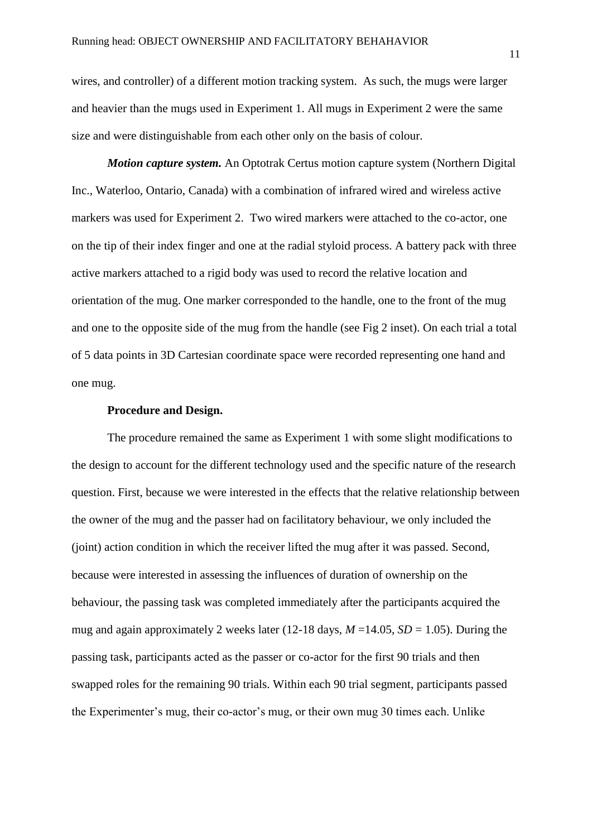wires, and controller) of a different motion tracking system. As such, the mugs were larger and heavier than the mugs used in Experiment 1. All mugs in Experiment 2 were the same size and were distinguishable from each other only on the basis of colour.

*Motion capture system.* An Optotrak Certus motion capture system (Northern Digital Inc., Waterloo, Ontario, Canada) with a combination of infrared wired and wireless active markers was used for Experiment 2. Two wired markers were attached to the co-actor, one on the tip of their index finger and one at the radial styloid process. A battery pack with three active markers attached to a rigid body was used to record the relative location and orientation of the mug. One marker corresponded to the handle, one to the front of the mug and one to the opposite side of the mug from the handle (see Fig 2 inset). On each trial a total of 5 data points in 3D Cartesian coordinate space were recorded representing one hand and one mug.

### **Procedure and Design.**

The procedure remained the same as Experiment 1 with some slight modifications to the design to account for the different technology used and the specific nature of the research question. First, because we were interested in the effects that the relative relationship between the owner of the mug and the passer had on facilitatory behaviour, we only included the (joint) action condition in which the receiver lifted the mug after it was passed. Second, because were interested in assessing the influences of duration of ownership on the behaviour, the passing task was completed immediately after the participants acquired the mug and again approximately 2 weeks later (12-18 days,  $M = 14.05$ ,  $SD = 1.05$ ). During the passing task, participants acted as the passer or co-actor for the first 90 trials and then swapped roles for the remaining 90 trials. Within each 90 trial segment, participants passed the Experimenter's mug, their co-actor's mug, or their own mug 30 times each. Unlike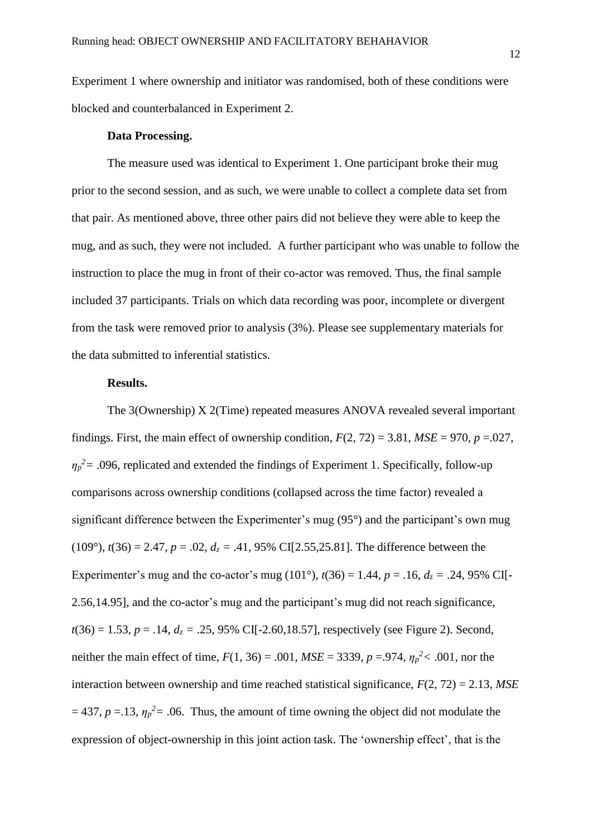Experiment 1 where ownership and initiator was randomised, both of these conditions were blocked and counterbalanced in Experiment 2.

# **Data Processing.**

The measure used was identical to Experiment 1. One participant broke their mug prior to the second session, and as such, we were unable to collect a complete data set from that pair. As mentioned above, three other pairs did not believe they were able to keep the mug, and as such, they were not included. A further participant who was unable to follow the instruction to place the mug in front of their co-actor was removed. Thus, the final sample included 37 participants. Trials on which data recording was poor, incomplete or divergent from the task were removed prior to analysis (3%). Please see supplementary materials for the data submitted to inferential statistics.

# **Results.**

The 3(Ownership) X 2(Time) repeated measures ANOVA revealed several important findings. First, the main effect of ownership condition,  $F(2, 72) = 3.81$ ,  $MSE = 970$ ,  $p = .027$ ,  $\eta_p^2$  = .096, replicated and extended the findings of Experiment 1. Specifically, follow-up comparisons across ownership conditions (collapsed across the time factor) revealed a significant difference between the Experimenter's mug (95°) and the participant's own mug  $(109^{\circ})$ ,  $t(36) = 2.47$ ,  $p = .02$ ,  $d_z = .41$ , 95% CI[2.55,25.81]. The difference between the Experimenter's mug and the co-actor's mug (101°),  $t(36) = 1.44$ ,  $p = .16$ ,  $d_z = .24$ , 95% CI[-2.56,14.95], and the co-actor's mug and the participant's mug did not reach significance,  $t(36) = 1.53$ ,  $p = .14$ ,  $d_z = .25$ , 95% CI[-2.60,18.57], respectively (see Figure 2). Second, neither the main effect of time,  $F(1, 36) = .001$ ,  $MSE = 3339$ ,  $p = .974$ ,  $\eta_p^2 < .001$ , nor the interaction between ownership and time reached statistical significance,  $F(2, 72) = 2.13$ ,  $MSE$  $= 437$ ,  $p = 13$ ,  $\eta_p^2 = 0.06$ . Thus, the amount of time owning the object did not modulate the expression of object-ownership in this joint action task. The 'ownership effect', that is the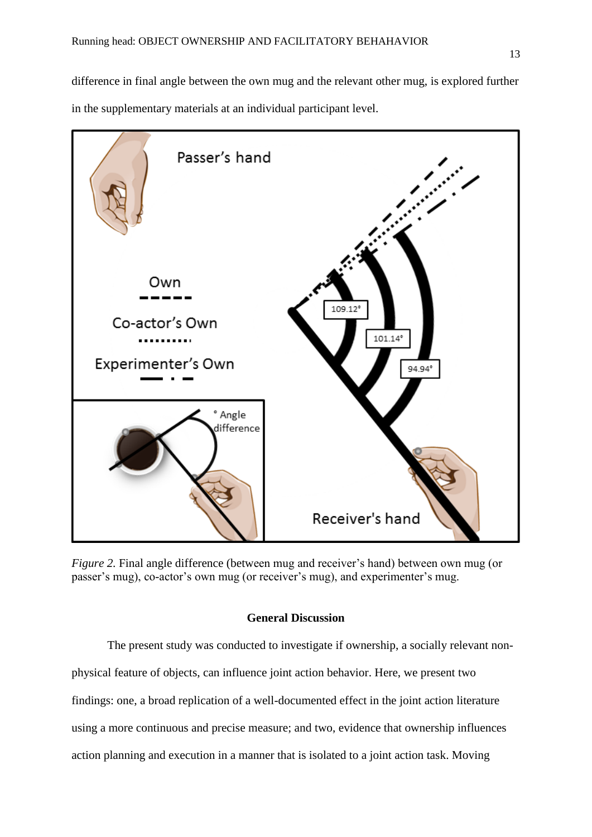difference in final angle between the own mug and the relevant other mug, is explored further in the supplementary materials at an individual participant level.



*Figure 2.* Final angle difference (between mug and receiver's hand) between own mug (or passer's mug), co-actor's own mug (or receiver's mug), and experimenter's mug.

# **General Discussion**

The present study was conducted to investigate if ownership, a socially relevant nonphysical feature of objects, can influence joint action behavior. Here, we present two findings: one, a broad replication of a well-documented effect in the joint action literature using a more continuous and precise measure; and two, evidence that ownership influences action planning and execution in a manner that is isolated to a joint action task. Moving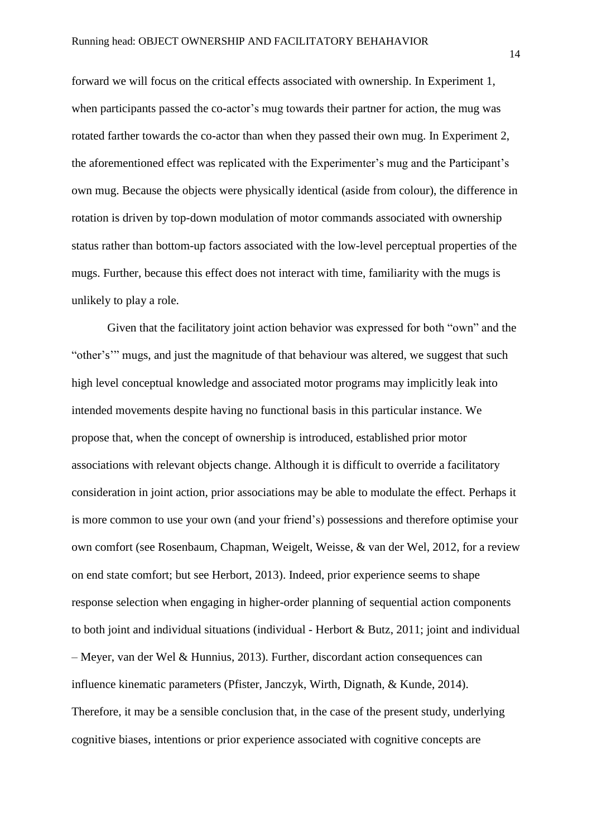forward we will focus on the critical effects associated with ownership. In Experiment 1, when participants passed the co-actor's mug towards their partner for action, the mug was rotated farther towards the co-actor than when they passed their own mug. In Experiment 2, the aforementioned effect was replicated with the Experimenter's mug and the Participant's own mug. Because the objects were physically identical (aside from colour), the difference in rotation is driven by top-down modulation of motor commands associated with ownership status rather than bottom-up factors associated with the low-level perceptual properties of the mugs. Further, because this effect does not interact with time, familiarity with the mugs is unlikely to play a role.

Given that the facilitatory joint action behavior was expressed for both "own" and the "other's'" mugs, and just the magnitude of that behaviour was altered, we suggest that such high level conceptual knowledge and associated motor programs may implicitly leak into intended movements despite having no functional basis in this particular instance. We propose that, when the concept of ownership is introduced, established prior motor associations with relevant objects change. Although it is difficult to override a facilitatory consideration in joint action, prior associations may be able to modulate the effect. Perhaps it is more common to use your own (and your friend's) possessions and therefore optimise your own comfort (see Rosenbaum, Chapman, Weigelt, Weisse, & van der Wel, 2012, for a review on end state comfort; but see Herbort, 2013). Indeed, prior experience seems to shape response selection when engaging in higher-order planning of sequential action components to both joint and individual situations (individual - Herbort & Butz, 2011; joint and individual – Meyer, van der Wel & Hunnius, 2013). Further, discordant action consequences can influence kinematic parameters (Pfister, Janczyk, Wirth, Dignath, & Kunde, 2014). Therefore, it may be a sensible conclusion that, in the case of the present study, underlying cognitive biases, intentions or prior experience associated with cognitive concepts are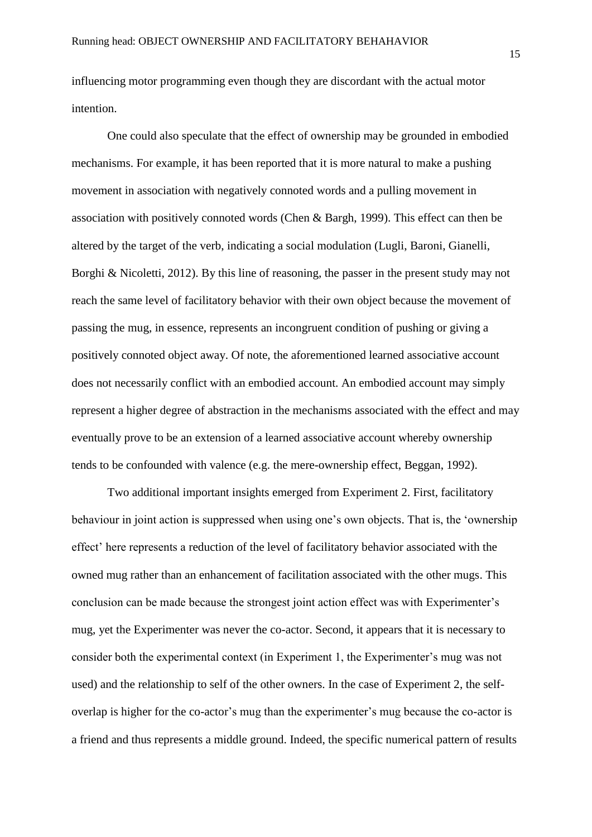influencing motor programming even though they are discordant with the actual motor intention.

One could also speculate that the effect of ownership may be grounded in embodied mechanisms. For example, it has been reported that it is more natural to make a pushing movement in association with negatively connoted words and a pulling movement in association with positively connoted words (Chen & Bargh, 1999). This effect can then be altered by the target of the verb, indicating a social modulation (Lugli, Baroni, Gianelli, Borghi & Nicoletti, 2012). By this line of reasoning, the passer in the present study may not reach the same level of facilitatory behavior with their own object because the movement of passing the mug, in essence, represents an incongruent condition of pushing or giving a positively connoted object away. Of note, the aforementioned learned associative account does not necessarily conflict with an embodied account. An embodied account may simply represent a higher degree of abstraction in the mechanisms associated with the effect and may eventually prove to be an extension of a learned associative account whereby ownership tends to be confounded with valence (e.g. the mere-ownership effect, Beggan, 1992).

Two additional important insights emerged from Experiment 2. First, facilitatory behaviour in joint action is suppressed when using one's own objects. That is, the 'ownership effect' here represents a reduction of the level of facilitatory behavior associated with the owned mug rather than an enhancement of facilitation associated with the other mugs. This conclusion can be made because the strongest joint action effect was with Experimenter's mug, yet the Experimenter was never the co-actor. Second, it appears that it is necessary to consider both the experimental context (in Experiment 1, the Experimenter's mug was not used) and the relationship to self of the other owners. In the case of Experiment 2, the selfoverlap is higher for the co-actor's mug than the experimenter's mug because the co-actor is a friend and thus represents a middle ground. Indeed, the specific numerical pattern of results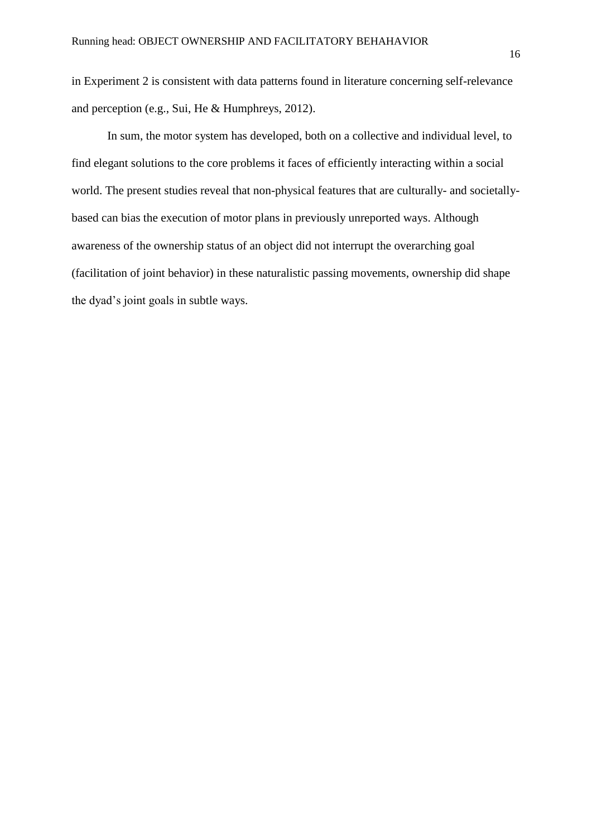in Experiment 2 is consistent with data patterns found in literature concerning self-relevance and perception (e.g., Sui, He & Humphreys, 2012).

In sum, the motor system has developed, both on a collective and individual level, to find elegant solutions to the core problems it faces of efficiently interacting within a social world. The present studies reveal that non-physical features that are culturally- and societallybased can bias the execution of motor plans in previously unreported ways. Although awareness of the ownership status of an object did not interrupt the overarching goal (facilitation of joint behavior) in these naturalistic passing movements, ownership did shape the dyad's joint goals in subtle ways.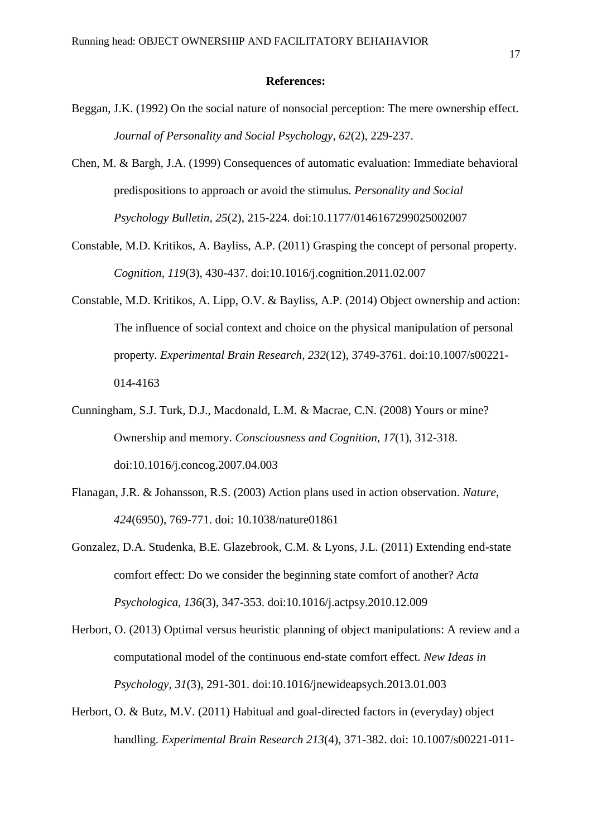#### **References:**

- Beggan, J.K. (1992) On the social nature of nonsocial perception: The mere ownership effect. *Journal of Personality and Social Psychology, 62*(2), 229-237.
- Chen, M. & Bargh, J.A. (1999) Consequences of automatic evaluation: Immediate behavioral predispositions to approach or avoid the stimulus. *Personality and Social Psychology Bulletin, 25*(2), 215-224. doi:10.1177/0146167299025002007
- Constable, M.D. Kritikos, A. Bayliss, A.P. (2011) Grasping the concept of personal property. *Cognition, 119*(3), 430-437. doi:10.1016/j.cognition.2011.02.007
- Constable, M.D. Kritikos, A. Lipp, O.V. & Bayliss, A.P. (2014) Object ownership and action: The influence of social context and choice on the physical manipulation of personal property. *Experimental Brain Research, 232*(12), 3749-3761. doi:10.1007/s00221- 014-4163
- Cunningham, S.J. Turk, D.J., Macdonald, L.M. & Macrae, C.N. (2008) Yours or mine? Ownership and memory. *Consciousness and Cognition, 17*(1), 312-318. doi:10.1016/j.concog.2007.04.003
- Flanagan, J.R. & Johansson, R.S. (2003) Action plans used in action observation. *Nature, 424*(6950), 769-771. doi: 10.1038/nature01861
- Gonzalez, D.A. Studenka, B.E. Glazebrook, C.M. & Lyons, J.L. (2011) Extending end-state comfort effect: Do we consider the beginning state comfort of another? *Acta Psychologica, 136*(3), 347-353. doi:10.1016/j.actpsy.2010.12.009
- Herbort, O. (2013) Optimal versus heuristic planning of object manipulations: A review and a computational model of the continuous end-state comfort effect. *New Ideas in Psychology, 31*(3), 291-301. doi:10.1016/jnewideapsych.2013.01.003
- Herbort, O. & Butz, M.V. (2011) Habitual and goal-directed factors in (everyday) object handling. *Experimental Brain Research 213*(4), 371-382. doi: 10.1007/s00221-011-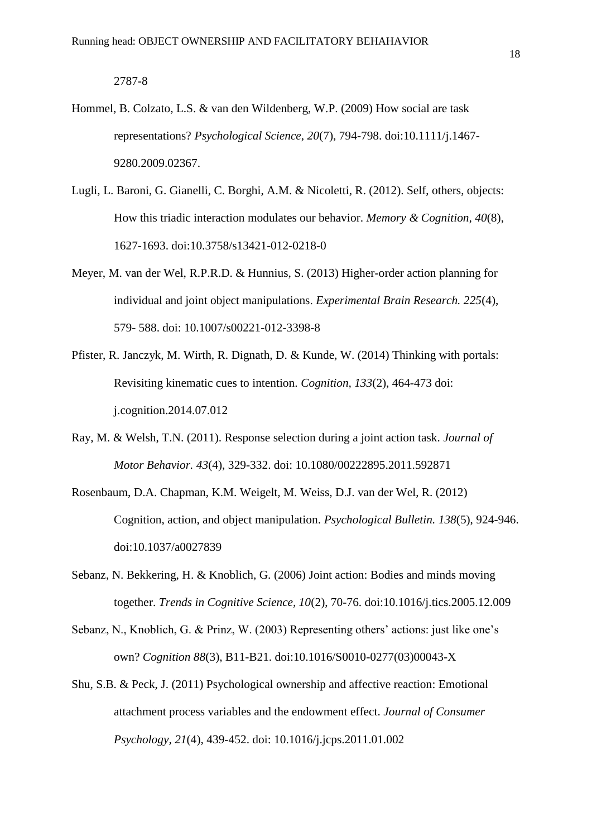#### 2787-8

- Hommel, B. Colzato, L.S. & van den Wildenberg, W.P. (2009) How social are task representations? *Psychological Science*, *20*(7), 794-798. doi:10.1111/j.1467- 9280.2009.02367.
- Lugli, L. Baroni, G. Gianelli, C. Borghi, A.M. & Nicoletti, R. (2012). Self, others, objects: How this triadic interaction modulates our behavior. *Memory & Cognition, 40*(8), 1627-1693. doi:10.3758/s13421-012-0218-0
- Meyer, M. van der Wel, R.P.R.D. & Hunnius, S. (2013) Higher-order action planning for individual and joint object manipulations. *Experimental Brain Research. 225*(4), 579- 588. doi: 10.1007/s00221-012-3398-8
- Pfister, R. Janczyk, M. Wirth, R. Dignath, D. & Kunde, W. (2014) Thinking with portals: Revisiting kinematic cues to intention. *Cognition, 133*(2), 464-473 doi: j.cognition.2014.07.012
- Ray, M. & Welsh, T.N. (2011). Response selection during a joint action task. *Journal of Motor Behavior. 43*(4), 329-332. doi: 10.1080/00222895.2011.592871
- Rosenbaum, D.A. Chapman, K.M. Weigelt, M. Weiss, D.J. van der Wel, R. (2012) Cognition, action, and object manipulation. *Psychological Bulletin. 138*(5), 924-946. doi:10.1037/a0027839
- Sebanz, N. Bekkering, H. & Knoblich, G. (2006) Joint action: Bodies and minds moving together. *Trends in Cognitive Science, 10*(2), 70-76. doi:10.1016/j.tics.2005.12.009
- Sebanz, N., Knoblich, G. & Prinz, W. (2003) Representing others' actions: just like one's own? *Cognition 88*(3), B11-B21. doi:10.1016/S0010-0277(03)00043-X
- Shu, S.B. & Peck, J. (2011) Psychological ownership and affective reaction: Emotional attachment process variables and the endowment effect. *Journal of Consumer Psychology, 21*(4), 439-452. doi: 10.1016/j.jcps.2011.01.002